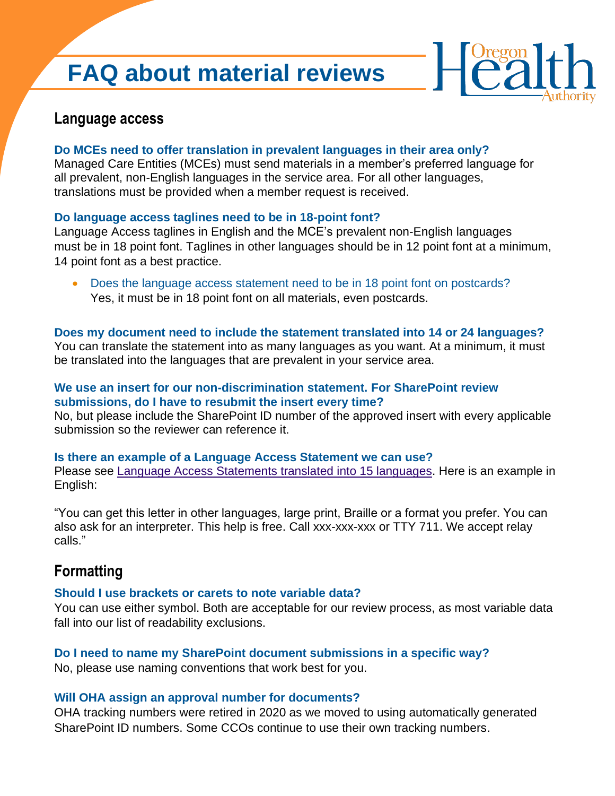# **FAQ about material reviews**



# **Language access**

#### **Do MCEs need to offer translation in prevalent languages in their area only?**

Managed Care Entities (MCEs) must send materials in a member's preferred language for all prevalent, non-English languages in the service area. For all other languages, translations must be provided when a member request is received.

#### **Do language access taglines need to be in 18-point font?**

Language Access taglines in English and the MCE's prevalent non-English languages must be in 18 point font. Taglines in other languages should be in 12 point font at a minimum, 14 point font as a best practice.

• Does the language access statement need to be in 18 point font on postcards? Yes, it must be in 18 point font on all materials, even postcards.

#### **Does my document need to include the statement translated into 14 or 24 languages?**

You can translate the statement into as many languages as you want. At a minimum, it must be translated into the languages that are prevalent in your service area.

#### **We use an insert for our non-discrimination statement. For SharePoint review submissions, do I have to resubmit the insert every time?**

No, but please include the SharePoint ID number of the approved insert with every applicable submission so the reviewer can reference it.

#### **Is there an example of a Language Access Statement we can use?**

Please see [Language Access Statements translated into 15 languages.](https://www.oregon.gov/oha/HSD/OHP/CCO/Language%20Access%20Taglines_OHP%20Medicaid%20CCO%20Letters_15%20languages.docx) Here is an example in English:

"You can get this letter in other languages, large print, Braille or a format you prefer. You can also ask for an interpreter. This help is free. Call xxx-xxx-xxx or TTY 711. We accept relay calls."

# **Formatting**

#### **Should I use brackets or carets to note variable data?**

You can use either symbol. Both are acceptable for our review process, as most variable data fall into our list of readability exclusions.

## **Do I need to name my SharePoint document submissions in a specific way?**

No, please use naming conventions that work best for you.

#### **Will OHA assign an approval number for documents?**

OHA tracking numbers were retired in 2020 as we moved to using automatically generated SharePoint ID numbers. Some CCOs continue to use their own tracking numbers.